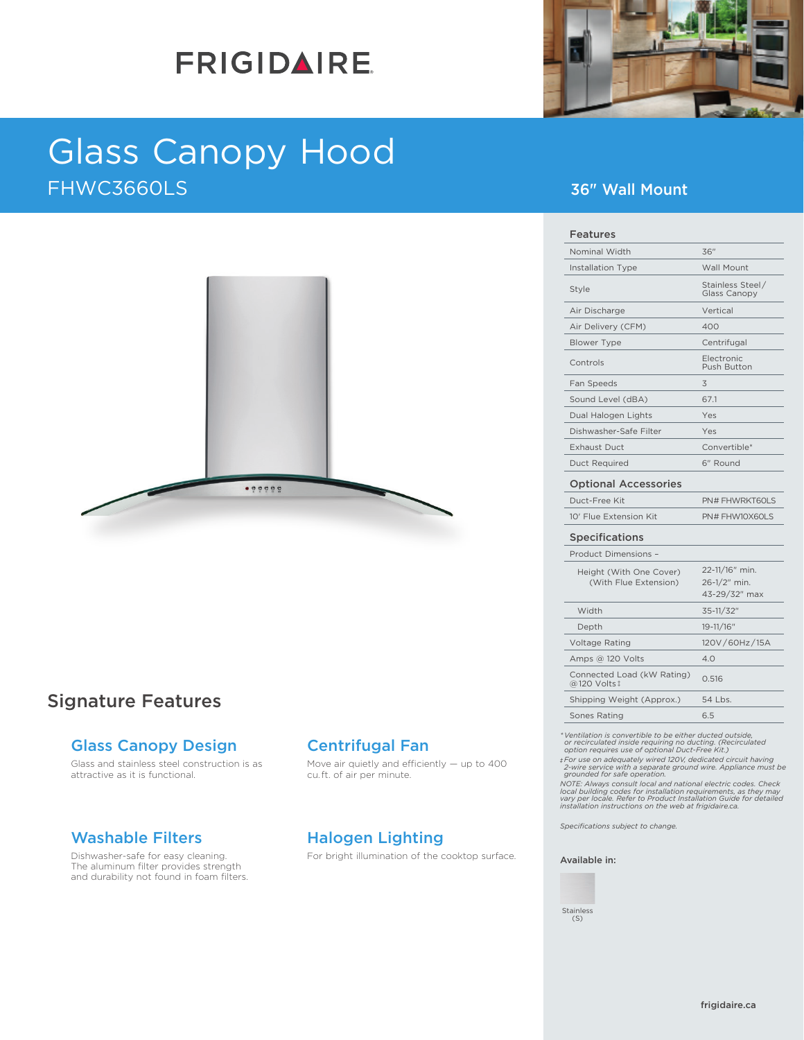# **FRIGIDAIRE**



# Glass Canopy Hood FHWC3660LS 36" Wall Mount



# Signature Features

### Glass Canopy Design

Glass and stainless steel construction is as attractive as it is functional.

### Washable Filters

Dishwasher-safe for easy cleaning. The aluminum filter provides strength and durability not found in foam filters.

## Centrifugal Fan

Move air quietly and efficiently — up to 400 cu. ft. of air per minute.

# Halogen Lighting

For bright illumination of the cooktop surface.

| Nominal Width                                    | 36"                                                        |
|--------------------------------------------------|------------------------------------------------------------|
| Installation Type                                | <b>Wall Mount</b>                                          |
| Style                                            | Stainless Steel/<br><b>Glass Canopy</b>                    |
| Air Discharge                                    | Vertical                                                   |
| Air Delivery (CFM)                               | 400                                                        |
| Blower Type                                      | Centrifugal                                                |
| Controls                                         | Electronic<br>Push Button                                  |
| Fan Speeds                                       | 3                                                          |
| Sound Level (dBA)                                | 67.1                                                       |
| Dual Halogen Lights                              | Yes                                                        |
| Dishwasher-Safe Filter                           | Yes                                                        |
| <b>Exhaust Duct</b>                              | Convertible*                                               |
| <b>Duct Required</b>                             | 6" Round                                                   |
|                                                  |                                                            |
| <b>Optional Accessories</b>                      |                                                            |
| Duct-Free Kit                                    |                                                            |
| 10' Flue Extension Kit                           |                                                            |
| <b>Specifications</b>                            |                                                            |
| Product Dimensions -                             |                                                            |
| Height (With One Cover)<br>(With Flue Extension) | 22-11/16" min.<br>26-1/2" min.<br>43-29/32" max            |
| Width                                            | 35-11/32"                                                  |
| Depth                                            | 19-11/16"                                                  |
| Voltage Rating                                   |                                                            |
| Amps @ 120 Volts                                 | 4.0                                                        |
| Connected Load (kW Rating)<br>@120 Volts‡        | PN# FHWRKT60LS<br>PN# FHW10X60LS<br>120V/60Hz/15A<br>0.516 |

\* Ventillation is convertible to be either ducted outside,<br>or recirculated inside requiring no ducting. (Recirculated<br>option requires use of optional Duct-Free Kit.)<br> $\pm$  For use on adequately wired 120V, dedicated circuit

*Specifications subject to change.*

### Available in:

Stainless (S)